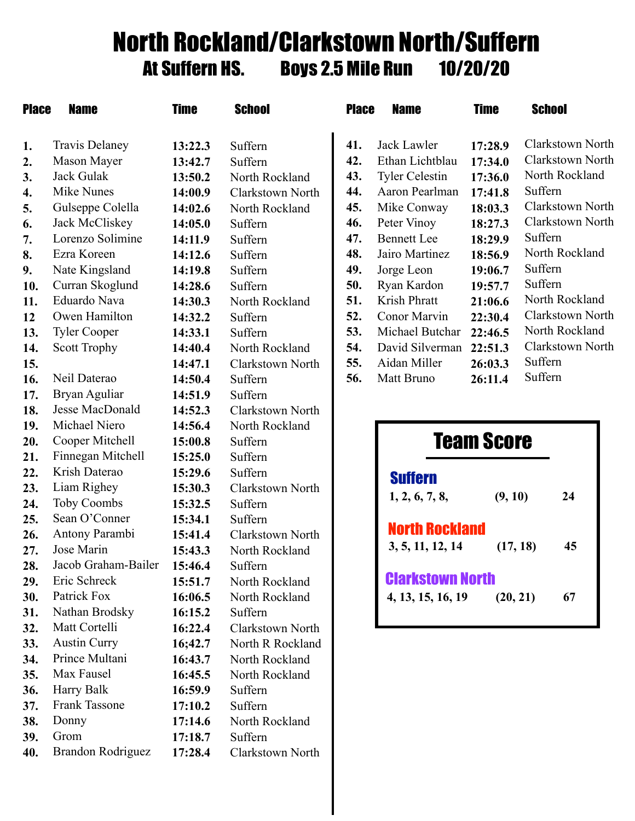## North Rockland/Clarkstown North/Suffern At Suffern HS. Boys 2.5 Mile Run 10/20/20

| <b>Place</b> | <b>Name</b>                 | <b>Time</b> | <b>School</b>    | <b>Place</b> | <b>Name</b>             | <b>Time</b> |          | <b>School</b>    |  |
|--------------|-----------------------------|-------------|------------------|--------------|-------------------------|-------------|----------|------------------|--|
| 1.           | <b>Travis Delaney</b>       | 13:22.3     | Suffern          | 41.          | Jack Lawler             | 17:28.9     |          | Clarkstown North |  |
| 2.           | Mason Mayer                 | 13:42.7     | Suffern          | 42.          | Ethan Lichtblau         | 17:34.0     |          | Clarkstown North |  |
| 3.           | Jack Gulak                  | 13:50.2     | North Rockland   | 43.          | <b>Tyler Celestin</b>   | 17:36.0     |          | North Rockland   |  |
| 4.           | <b>Mike Nunes</b>           | 14:00.9     | Clarkstown North | 44.          | Aaron Pearlman          | 17:41.8     | Suffern  |                  |  |
| 5.           | Gulseppe Colella            | 14:02.6     | North Rockland   | 45.          | Mike Conway             | 18:03.3     |          | Clarkstown North |  |
| 6.           | Jack McCliskey              | 14:05.0     | Suffern          | 46.          | Peter Vinoy             | 18:27.3     |          | Clarkstown North |  |
| 7.           | Lorenzo Solimine            | 14:11.9     | Suffern          | 47.          | <b>Bennett</b> Lee      | 18:29.9     | Suffern  |                  |  |
| 8.           | Ezra Koreen                 | 14:12.6     | Suffern          | 48.          | Jairo Martinez          | 18:56.9     |          | North Rockland   |  |
| 9.           | Nate Kingsland              | 14:19.8     | Suffern          | 49.          | Jorge Leon              | 19:06.7     | Suffern  |                  |  |
| 10.          | Curran Skoglund             | 14:28.6     | Suffern          | 50.          | Ryan Kardon             | 19:57.7     | Suffern  |                  |  |
| 11.          | Eduardo Nava                | 14:30.3     | North Rockland   | 51.          | Krish Phratt            | 21:06.6     |          | North Rockland   |  |
| 12           | Owen Hamilton               | 14:32.2     | Suffern          | 52.          | Conor Marvin            | 22:30.4     |          | Clarkstown North |  |
| 13.          | <b>Tyler Cooper</b>         | 14:33.1     | Suffern          | 53.          | Michael Butchar         | 22:46.5     |          | North Rockland   |  |
| 14.          | <b>Scott Trophy</b>         | 14:40.4     | North Rockland   | 54.          | David Silverman         | 22:51.3     |          | Clarkstown North |  |
| 15.          |                             | 14:47.1     | Clarkstown North | 55.          | Aidan Miller            | 26:03.3     | Suffern  |                  |  |
| 16.          | Neil Daterao                | 14:50.4     | Suffern          | 56.          | Matt Bruno              | 26:11.4     | Suffern  |                  |  |
| 17.          | Bryan Aguliar               | 14:51.9     | Suffern          |              |                         |             |          |                  |  |
| 18.          | Jesse MacDonald             | 14:52.3     | Clarkstown North |              |                         |             |          |                  |  |
| 19.          | Michael Niero               | 14:56.4     | North Rockland   |              |                         |             |          |                  |  |
| 20.          | Cooper Mitchell             | 15:00.8     | Suffern          |              | <b>Team Score</b>       |             |          |                  |  |
| 21.          | Finnegan Mitchell           | 15:25.0     | Suffern          |              |                         |             |          |                  |  |
| 22.          | Krish Daterao               | 15:29.6     | Suffern          |              | <b>Suffern</b>          |             |          |                  |  |
| 23.          | Liam Righey                 | 15:30.3     | Clarkstown North |              | 1, 2, 6, 7, 8,          | (9, 10)     |          | 24               |  |
| 24.          | <b>Toby Coombs</b>          | 15:32.5     | Suffern          |              |                         |             |          |                  |  |
| 25.          | Sean O'Conner               | 15:34.1     | Suffern          |              |                         |             |          |                  |  |
| 26.          | Antony Parambi              | 15:41.4     | Clarkstown North |              | <b>North Rockland</b>   |             |          |                  |  |
| 27.          | Jose Marin                  | 15:43.3     | North Rockland   |              | 3, 5, 11, 12, 14        |             | (17, 18) | 45               |  |
| 28.          | Jacob Graham-Bailer 15:46.4 |             | Suffern          |              |                         |             |          |                  |  |
| 29.          | Eric Schreck                | 15:51.7     | North Rockland   |              | <b>Clarkstown North</b> |             |          |                  |  |
| 30.          | Patrick Fox                 | 16:06.5     | North Rockland   |              | 4, 13, 15, 16, 19       |             | (20, 21) | 67               |  |
| 31.          | Nathan Brodsky              | 16:15.2     | Suffern          |              |                         |             |          |                  |  |
| 32.          | Matt Cortelli               | 16:22.4     | Clarkstown North |              |                         |             |          |                  |  |
| 33.          | <b>Austin Curry</b>         | 16;42.7     | North R Rockland |              |                         |             |          |                  |  |
| 34.          | Prince Multani              | 16:43.7     | North Rockland   |              |                         |             |          |                  |  |
| 35.          | Max Fausel                  | 16:45.5     | North Rockland   |              |                         |             |          |                  |  |
| 36.          | Harry Balk                  | 16:59.9     | Suffern          |              |                         |             |          |                  |  |
| 37.          | Frank Tassone               | 17:10.2     | Suffern          |              |                         |             |          |                  |  |
| 38.          | Donny                       | 17:14.6     | North Rockland   |              |                         |             |          |                  |  |
| 39.          | Grom                        | 17:18.7     | Suffern          |              |                         |             |          |                  |  |
| 40.          | Brandon Rodriguez           | 17:28.4     | Clarkstown North |              |                         |             |          |                  |  |